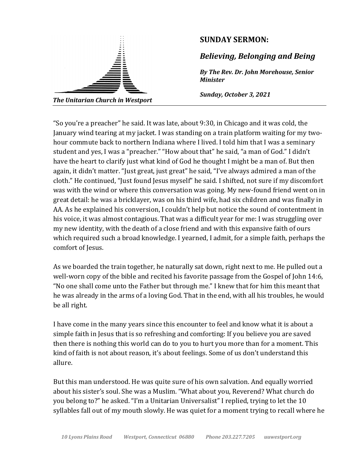

"So you're a preacher" he said. It was late, about 9:30, in Chicago and it was cold, the January wind tearing at my jacket. I was standing on a train platform waiting for my twohour commute back to northern Indiana where I lived. I told him that I was a seminary student and yes, I was a "preacher." "How about that" he said, "a man of God." I didn't have the heart to clarify just what kind of God he thought I might be a man of. But then again, it didn't matter. "Just great, just great" he said, "I've always admired a man of the cloth." He continued, "Just found Jesus myself" he said. I shifted, not sure if my discomfort was with the wind or where this conversation was going. My new-found friend went on in great detail: he was a bricklayer, was on his third wife, had six children and was finally in AA. As he explained his conversion, I couldn't help but notice the sound of contentment in his voice, it was almost contagious. That was a difficult year for me: I was struggling over my new identity, with the death of a close friend and with this expansive faith of ours which required such a broad knowledge. I yearned, I admit, for a simple faith, perhaps the comfort of Jesus.

As we boarded the train together, he naturally sat down, right next to me. He pulled out a well-worn copy of the bible and recited his favorite passage from the Gospel of John 14:6, "No one shall come unto the Father but through me." I knew that for him this meant that he was already in the arms of a loving God. That in the end, with all his troubles, he would be all right.

I have come in the many years since this encounter to feel and know what it is about a simple faith in Jesus that is so refreshing and comforting: If you believe you are saved then there is nothing this world can do to you to hurt you more than for a moment. This kind of faith is not about reason, it's about feelings. Some of us don't understand this allure. 

But this man understood. He was quite sure of his own salvation. And equally worried about his sister's soul. She was a Muslim. "What about you, Reverend? What church do you belong to?" he asked. "I'm a Unitarian Universalist" I replied, trying to let the 10 syllables fall out of my mouth slowly. He was quiet for a moment trying to recall where he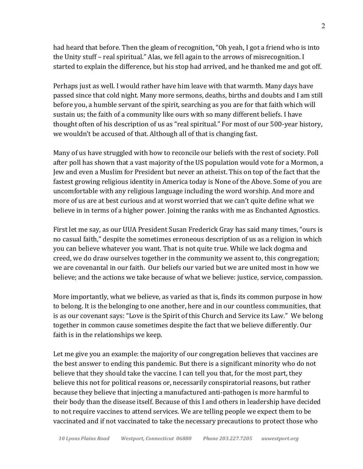had heard that before. Then the gleam of recognition, "Oh yeah, I got a friend who is into the Unity stuff – real spiritual." Alas, we fell again to the arrows of misrecognition. I started to explain the difference, but his stop had arrived, and he thanked me and got off.

Perhaps just as well. I would rather have him leave with that warmth. Many days have passed since that cold night. Many more sermons, deaths, births and doubts and I am still before you, a humble servant of the spirit, searching as you are for that faith which will sustain us; the faith of a community like ours with so many different beliefs. I have thought often of his description of us as "real spiritual." For most of our 500-year history, we wouldn't be accused of that. Although all of that is changing fast.

Many of us have struggled with how to reconcile our beliefs with the rest of society. Poll after poll has shown that a vast majority of the US population would vote for a Mormon, a Jew and even a Muslim for President but never an atheist. This on top of the fact that the fastest growing religious identity in America today is None of the Above. Some of you are uncomfortable with any religious language including the word worship. And more and more of us are at best curious and at worst worried that we can't quite define what we believe in in terms of a higher power. Joining the ranks with me as Enchanted Agnostics.

First let me say, as our UUA President Susan Frederick Gray has said many times, "ours is no casual faith," despite the sometimes erroneous description of us as a religion in which you can believe whatever you want. That is not quite true. While we lack dogma and creed, we do draw ourselves together in the community we assent to, this congregation; we are covenantal in our faith. Our beliefs our varied but we are united most in how we believe; and the actions we take because of what we believe: justice, service, compassion.

More importantly, what we believe, as varied as that is, finds its common purpose in how to belong. It is the belonging to one another, here and in our countless communities, that is as our covenant says: "Love is the Spirit of this Church and Service its Law." We belong together in common cause sometimes despite the fact that we believe differently. Our faith is in the relationships we keep.

Let me give you an example: the majority of our congregation believes that vaccines are the best answer to ending this pandemic. But there is a significant minority who do not believe that they should take the vaccine. I can tell you that, for the most part, they believe this not for political reasons or, necessarily conspiratorial reasons, but rather because they believe that injecting a manufactured anti-pathogen is more harmful to their body than the disease itself. Because of this I and others in leadership have decided to not require vaccines to attend services. We are telling people we expect them to be vaccinated and if not vaccinated to take the necessary precautions to protect those who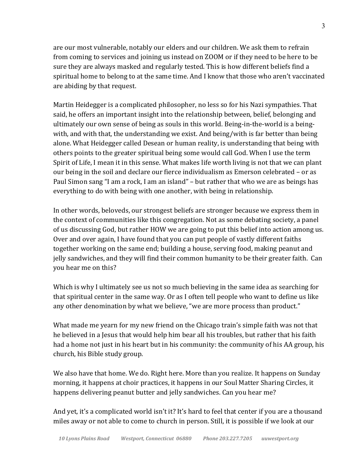are our most vulnerable, notably our elders and our children. We ask them to refrain from coming to services and joining us instead on ZOOM or if they need to be here to be sure they are always masked and regularly tested. This is how different beliefs find a spiritual home to belong to at the same time. And I know that those who aren't vaccinated are abiding by that request.

Martin Heidegger is a complicated philosopher, no less so for his Nazi sympathies. That said, he offers an important insight into the relationship between, belief, belonging and ultimately our own sense of being as souls in this world. Being-in-the-world is a beingwith, and with that, the understanding we exist. And being/with is far better than being alone. What Heidegger called Desean or human reality, is understanding that being with others points to the greater spiritual being some would call God. When I use the term Spirit of Life, I mean it in this sense. What makes life worth living is not that we can plant our being in the soil and declare our fierce individualism as Emerson celebrated - or as Paul Simon sang "I am a rock, I am an island" – but rather that who we are as beings has everything to do with being with one another, with being in relationship.

In other words, beloveds, our strongest beliefs are stronger because we express them in the context of communities like this congregation. Not as some debating society, a panel of us discussing God, but rather HOW we are going to put this belief into action among us. Over and over again, I have found that you can put people of vastly different faiths together working on the same end; building a house, serving food, making peanut and jelly sandwiches, and they will find their common humanity to be their greater faith. Can you hear me on this?

Which is why I ultimately see us not so much believing in the same idea as searching for that spiritual center in the same way. Or as I often tell people who want to define us like any other denomination by what we believe, "we are more process than product."

What made me yearn for my new friend on the Chicago train's simple faith was not that he believed in a Jesus that would help him bear all his troubles, but rather that his faith had a home not just in his heart but in his community: the community of his AA group, his church, his Bible study group.

We also have that home. We do. Right here. More than you realize. It happens on Sunday morning, it happens at choir practices, it happens in our Soul Matter Sharing Circles, it happens delivering peanut butter and jelly sandwiches. Can you hear me?

And yet, it's a complicated world isn't it? It's hard to feel that center if you are a thousand miles away or not able to come to church in person. Still, it is possible if we look at our